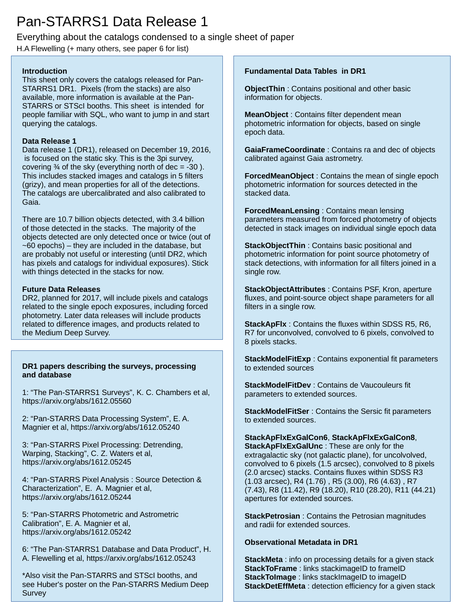# Pan-STARRS1 Data Release 1

# Everything about the catalogs condensed to a single sheet of paper

H.A Flewelling (+ many others, see paper 6 for list)

# **Introduction**

This sheet only covers the catalogs released for Pan-STARRS1 DR1. Pixels (from the stacks) are also available, more information is available at the Pan-STARRS or STScI booths. This sheet is intended for people familiar with SQL, who want to jump in and start querying the catalogs.

# **Data Release 1**

Data release 1 (DR1), released on December 19, 2016, is focused on the static sky. This is the 3pi survey, covering  $\frac{3}{4}$  of the sky (everything north of dec = -30). This includes stacked images and catalogs in 5 filters (grizy), and mean properties for all of the detections. The catalogs are ubercalibrated and also calibrated to Gaia.

There are 10.7 billion objects detected, with 3.4 billion of those detected in the stacks. The majority of the objects detected are only detected once or twice (out of  $-60$  epochs) – they are included in the database, but are probably not useful or interesting (until DR2, which has pixels and catalogs for individual exposures). Stick with things detected in the stacks for now.

# **Future Data Releases**

DR2, planned for 2017, will include pixels and catalogs related to the single epoch exposures, including forced photometry. Later data releases will include products related to difference images, and products related to the Medium Deep Survey.

## **DR1 papers describing the surveys, processing and database**

1: "The Pan-STARRS1 Surveys", K. C. Chambers et al, https://arxiv.org/abs/1612.05560

2: "Pan-STARRS Data Processing System", E. A. Magnier et al, https://arxiv.org/abs/1612.05240

3: "Pan-STARRS Pixel Processing: Detrending, Warping, Stacking", C. Z. Waters et al, https://arxiv.org/abs/1612.05245

4: "Pan-STARRS Pixel Analysis : Source Detection & Characterization", E. A. Magnier et al, https://arxiv.org/abs/1612.05244

5: "Pan-STARRS Photometric and Astrometric Calibration", E. A. Magnier et al, https://arxiv.org/abs/1612.05242

6: "The Pan-STARRS1 Database and Data Product", H. A. Flewelling et al, <https://arxiv.org/abs/1612.05243>

\*Also visit the Pan-STARRS and STScI booths, and see Huber's poster on the Pan-STARRS Medium Deep **Survey** 

# **Fundamental Data Tables in DR1**

**ObjectThin** : Contains positional and other basic information for objects.

**MeanObject** : Contains filter dependent mean photometric information for objects, based on single epoch data.

**GaiaFrameCoordinate** : Contains ra and dec of objects calibrated against Gaia astrometry.

**ForcedMeanObject** : Contains the mean of single epoch photometric information for sources detected in the stacked data.

**ForcedMeanLensing** : Contains mean lensing parameters measured from forced photometry of objects detected in stack images on individual single epoch data

**StackObjectThin**: Contains basic positional and photometric information for point source photometry of stack detections, with information for all filters joined in a single row.

**StackObjectAttributes** : Contains PSF, Kron, aperture fluxes, and point-source object shape parameters for all filters in a single row.

**StackApFlx** : Contains the fluxes within SDSS R5, R6, R7 for unconvolved, convolved to 6 pixels, convolved to 8 pixels stacks.

**StackModelFitExp** : Contains exponential fit parameters to extended sources

**StackModelFitDev** : Contains de Vaucouleurs fit parameters to extended sources.

**StackModelFitSer** : Contains the Sersic fit parameters to extended sources.

**StackApFlxExGalCon6**, **StackApFlxExGalCon8**, **StackApFlxExGalUnc** : These are only for the extragalactic sky (not galactic plane), for uncolvolved, convolved to 6 pixels (1.5 arcsec), convolved to 8 pixels (2.0 arcsec) stacks. Contains fluxes within SDSS R3 (1.03 arcsec), R4 (1.76) , R5 (3.00), R6 (4.63) , R7 (7.43), R8 (11.42), R9 (18.20), R10 (28.20), R11 (44.21) apertures for extended sources.

**StackPetrosian** : Contains the Petrosian magnitudes and radii for extended sources.

## **Observational Metadata in DR1**

**StackMeta** : info on processing details for a given stack **StackToFrame** : links stackimageID to frameID **StackToImage** : links stackImageID to imageID **StackDetEffMeta** : detection efficiency for a given stack